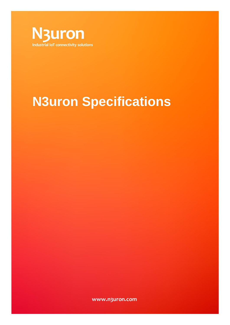

# **N3uron Specifications**

www.n3uron.com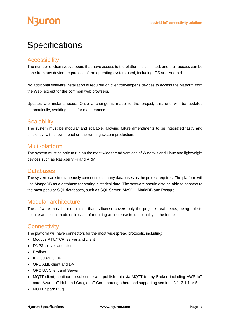### **Specifications**

#### **Accessibility**

The number of clients/developers that have access to the platform is unlimited, and their access can be done from any device, regardless of the operating system used, including iOS and Android.

No additional software installation is required on client/developer's devices to access the platform from the Web, except for the common web browsers.

Updates are instantaneous. Once a change is made to the project, this one will be updated automatically, avoiding costs for maintenance.

#### **Scalability**

The system must be modular and scalable, allowing future amendments to be integrated fastly and efficiently, with a low impact on the running system production.

#### Multi-platform

The system must be able to run on the most widespread versions of Windows and Linux and lightweight devices such as Raspberry Pi and ARM.

#### **Databases**

The system can simultaneously connect to as many databases as the project requires. The platform will use MongoDB as a database for storing historical data. The software should also be able to connect to the most popular SQL databases, such as SQL Server, MySQL, MariaDB and Postgre.

#### Modular architecture

The software must be modular so that its license covers only the project's real needs, being able to acquire additional modules in case of requiring an increase in functionality in the future.

#### **Connectivity**

The platform will have connectors for the most widespread protocols, including:

- Modbus RTU/TCP, server and client
- DNP3, server and client
- Profinet
- IEC 60870-5-102
- OPC XML client and DA
- OPC UA Client and Server
- MQTT client, continue to subscribe and publish data via MQTT to any Broker, including AWS IoT core, Azure IoT Hub and Google IoT Core, among others and supporting versions 3.1, 3.1.1 or 5.
- MQTT Spark Plug B.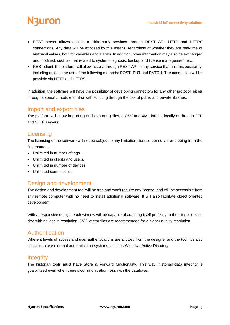## uron

- REST server allows access to third-party services through REST API, HTTP and HTTPS connections. Any data will be exposed by this means, regardless of whether they are real-time or historical values, both for variables and alarms. In addition, other information may also be exchanged and modified, such as that related to system diagnosis, backup and license management, etc.
- REST client, the platform will allow access through REST API to any service that has this possibility, including at least the use of the following methods: POST, PUT and PATCH. The connection will be possible via HTTP and HTTPS.

In addition, the software will have the possibility of developing connectors for any other protocol, either through a specific module for it or with scripting through the use of public and private libraries.

#### Import and export files

The platform will allow importing and exporting files in CSV and XML format, locally or through FTP and SFTP servers.

#### **Licensing**

The licensing of the software will not be subject to any limitation, license per server and being from the first moment:

- Unlimited in number of tags.
- Unlimited in clients and users.
- Unlimited in number of devices.
- Unlimited connections.

#### Design and development

The design and development tool will be free and won't require any license, and will be accessible from any remote computer with no need to install additional software. It will also facilitate object-oriented development.

With a responsive design, each window will be capable of adapting itself perfectly to the client's device size with no loss in resolution. SVG vector files are recommended for a higher quality resolution.

#### Authentication

Different levels of access and user authentications are allowed from the designer and the tool. It's also possible to use external authentication systems, such as Windows Active Directory.

#### **Integrity**

The historian tools must have Store & Forward functionality. This way, historian-data integrity is guaranteed even when there's communication loss with the database.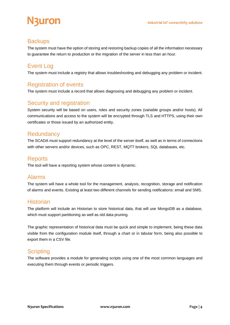### **Backups**

The system must have the option of storing and restoring backup copies of all the information necessary to guarantee the return to production or the migration of the server in less than an hour.

#### Event Log

The system must include a registry that allows troubleshooting and debugging any problem or incident.

#### Registration of events

The system must include a record that allows diagnosing and debugging any problem or incident.

#### Security and registration

System security will be based on users, roles and security zones (variable groups and/or hosts). All communications and access to the system will be encrypted through TLS and HTTPS, using their own certificates or those issued by an authorized entity.

#### **Redundancy**

The SCADA must support redundancy at the level of the server itself, as well as in terms of connections with other servers and/or devices, such as OPC, REST, MQTT brokers, SQL databases, etc.

#### **Reports**

The tool will have a reporting system whose content is dynamic.

#### Alarms

The system will have a whole tool for the management, analysis, recognition, storage and notification of alarms and events. Existing at least two different channels for sending notifications: email and SMS.

#### **Historian**

The platform will include an Historian to store historical data, that will use MongoDB as a database, which must support partitioning as well as old data pruning.

The graphic representation of historical data must be quick and simple to implement, being these data visible from the configuration module itself, through a chart or in tabular form, being also possible to export them in a CSV file.

#### **Scripting**

The software provides a module for generating scripts using one of the most common languages and executing them through events or periodic triggers.